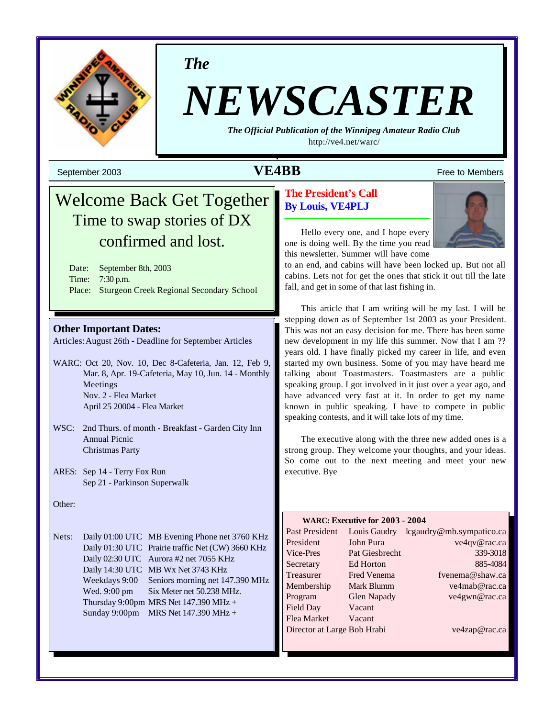

*The*

# *NEWSCASTER*

*The Official Publication of the Winnipeg Amateur Radio Club* <http://ve4.net/warc/>

## $\bf{VEABB}$  Free to Members  $\bf{VEABB}$

# Welcome Back Get Together Time to swap stories of DX confirmed and lost.

Date: September 8th, 2003 Time: 7:30 p.m. Place: Sturgeon Creek Regional Secondary School

#### **Other Important Dates:**

Articles:August 26th - Deadline for September Articles

WARC: Oct 20, Nov. 10, Dec 8-Cafeteria, Jan. 12, Feb 9, Mar. 8, Apr. 19-Cafeteria, May 10, Jun. 14 - Monthly Meetings Nov. 2 - Flea Market April 25 20004 - Flea Market

- WSC: 2nd Thurs. of month Breakfast Garden City Inn Annual Picnic Christmas Party
- ARES: Sep 14 Terry Fox Run Sep 21 - Parkinson Superwalk

Other:

Nets: Daily 01:00 UTC MB Evening Phone net 3760 KHz Daily 01:30 UTC Prairie traffic Net (CW) 3660 KHz Daily 02:30 UTC Aurora #2 net 7055 KHz Daily 14:30 UTC MB Wx Net 3743 KHz Weekdays 9:00 Seniors morning net 147.390 MHz Wed. 9:00 pm Six Meter net 50.238 MHz. Thursday 9:00pm MRS Net  $147.390$  MHz + Sunday 9:00pm MRS Net 147.390 MHz +

#### **The President's Call By Louis, VE4PLJ**



Hello every one, and I hope every one is doing well. By the time you read this newsletter. Summer will have come

to an end, and cabins will have been locked up. But not all cabins. Lets not for get the ones that stick it out till the late fall, and get in some of that last fishing in.

This article that I am writing will be my last. I will be stepping down as of September 1st 2003 as your President. This was not an easy decision for me. There has been some new development in my life this summer. Now that I am ?? years old. I have finally picked my career in life, and even started my own business. Some of you may have heard me talking about Toastmasters. Toastmasters are a public speaking group. I got involved in it just over a year ago, and have advanced very fast at it. In order to get my name known in public speaking. I have to compete in public speaking contests, and it will take lots of my time.

The executive along with the three new added ones is a strong group. They welcome your thoughts, and your ideas. So come out to the next meeting and meet your new executive. Bye

#### **WARC: Executive for 2003 - 2004**

| Past President              | Louis Gaudry       | lcgaudry@mb.sympatico.ca |
|-----------------------------|--------------------|--------------------------|
| President                   | John Pura          | ve4qv@rac.ca             |
| Vice-Pres                   | Pat Giesbrecht     | 339-3018                 |
| Secretary                   | Ed Horton          | 885-4084                 |
| Treasurer                   | Fred Venema        | fvenema@shaw.ca          |
| Membership                  | Mark Blumm         | ve4mab@rac.ca            |
| Program                     | <b>Glen Napady</b> | ve4gwn@rac.ca            |
| Field Day                   | Vacant             |                          |
| Flea Market                 | Vacant             |                          |
| Director at Large Bob Hrabi |                    | ve4zap@rac.ca            |
|                             |                    |                          |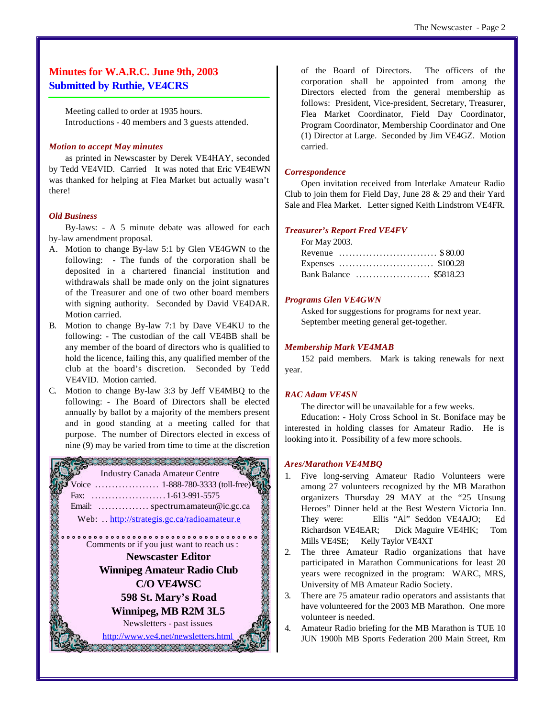#### **Minutes for W.A.R.C. June 9th, 2003 Submitted by Ruthie, VE4CRS**

Meeting called to order at 1935 hours. Introductions - 40 members and 3 guests attended.

#### *Motion to accept May minutes*

as printed in Newscaster by Derek VE4HAY, seconded by Tedd VE4VID. Carried It was noted that Eric VE4EWN was thanked for helping at Flea Market but actually wasn't there!

#### *Old Business*

By-laws: - A 5 minute debate was allowed for each by-law amendment proposal.

- A. Motion to change By-law 5:1 by Glen VE4GWN to the following: - The funds of the corporation shall be deposited in a chartered financial institution and withdrawals shall be made only on the joint signatures of the Treasurer and one of two other board members with signing authority. Seconded by David VE4DAR. Motion carried.
- B. Motion to change By-law 7:1 by Dave VE4KU to the following: - The custodian of the call VE4BB shall be any member of the board of directors who is qualified to hold the licence, failing this, any qualified member of the club at the board's discretion. Seconded by Tedd VE4VID. Motion carried.
- C. Motion to change By-law 3:3 by Jeff VE4MBQ to the following: - The Board of Directors shall be elected annually by ballot by a majority of the members present and in good standing at a meeting called for that purpose. The number of Directors elected in excess of nine (9) may be varied from time to time at the discretion



of the Board of Directors. The officers of the corporation shall be appointed from among the Directors elected from the general membership as follows: President, Vice-president, Secretary, Treasurer, Flea Market Coordinator, Field Day Coordinator, Program Coordinator, Membership Coordinator and One (1) Director at Large. Seconded by Jim VE4GZ. Motion carried.

#### *Correspondence*

Open invitation received from Interlake Amateur Radio Club to join them for Field Day, June 28 & 29 and their Yard Sale and Flea Market. Letter signed Keith Lindstrom VE4FR.

#### *Treasurer's Report Fred VE4FV*

| For May 2003.           |  |
|-------------------------|--|
| Revenue \$80.00         |  |
|                         |  |
| Bank Balance  \$5818.23 |  |

#### *Programs Glen VE4GWN*

Asked for suggestions for programs for next year. September meeting general get-together.

#### *Membership Mark VE4MAB*

152 paid members. Mark is taking renewals for next year.

#### *RAC Adam VE4SN*

The director will be unavailable for a few weeks.

Education: - Holy Cross School in St. Boniface may be interested in holding classes for Amateur Radio. He is looking into it. Possibility of a few more schools.

#### *Ares/Marathon VE4MBQ*

- 1. Five long-serving Amateur Radio Volunteers were among 27 volunteers recognized by the MB Marathon organizers Thursday 29 MAY at the "25 Unsung Heroes" Dinner held at the Best Western Victoria Inn. They were: Ellis "Al" Seddon VE4AJO; Ed Richardson VE4EAR; Dick Maguire VE4HK; Tom Mills VE4SE; Kelly Taylor VE4XT
- 2. The three Amateur Radio organizations that have participated in Marathon Communications for least 20 years were recognized in the program: WARC, MRS, University of MB Amateur Radio Society.
- 3. There are 75 amateur radio operators and assistants that have volunteered for the 2003 MB Marathon. One more volunteer is needed.
- 4. Amateur Radio briefing for the MB Marathon is TUE 10 JUN 1900h MB Sports Federation 200 Main Street, Rm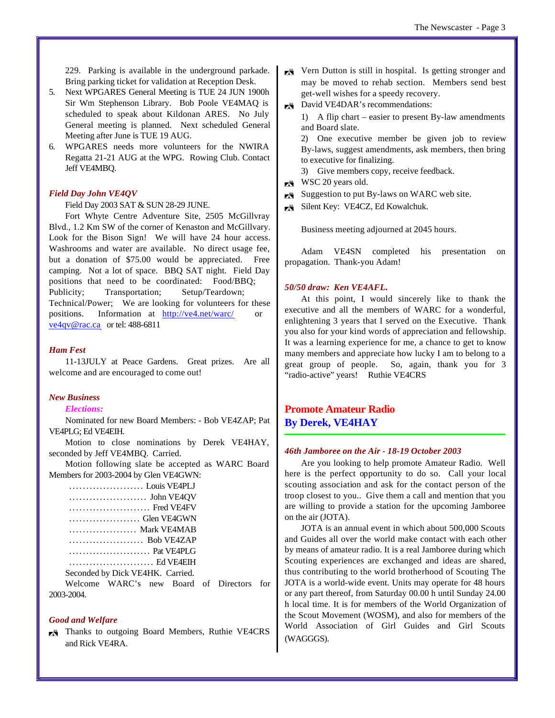229. Parking is available in the underground parkade. Bring parking ticket for validation at Reception Desk.

- 5. Next WPGARES General Meeting is TUE 24 JUN 1900h Sir Wm Stephenson Library. Bob Poole VE4MAQ is scheduled to speak about Kildonan ARES. No July General meeting is planned. Next scheduled General Meeting after June is TUE 19 AUG.
- 6. WPGARES needs more volunteers for the NWIRA Regatta 21-21 AUG at the WPG. Rowing Club. Contact Jeff VE4MBQ.

#### *Field Day John VE4QV*

Field Day 2003 SAT & SUN 28-29 JUNE.

Fort Whyte Centre Adventure Site, 2505 McGillvray Blvd., 1.2 Km SW of the corner of Kenaston and McGillvary. Look for the Bison Sign! We will have 24 hour access. Washrooms and water are available. No direct usage fee, but a donation of \$75.00 would be appreciated. Free camping. Not a lot of space. BBQ SAT night. Field Day positions that need to be coordinated: Food/BBQ; Publicity; Transportation; Setup/Teardown; Technical/Power; We are looking for volunteers for these positions. Information at <http://ve4.net/warc/> or ve4qv@rac.ca or tel: 488-6811

#### *Ham Fest*

11-13JULY at Peace Gardens. Great prizes. Are all welcome and are encouraged to come out!

#### *New Business*

#### *Elections:*

Nominated for new Board Members: - Bob VE4ZAP; Pat VE4PLG; Ed VE4EIH.

Motion to close nominations by Derek VE4HAY, seconded by Jeff VE4MBQ. Carried.

Motion following slate be accepted as WARC Board Members for 2003-2004 by Glen VE4GWN:

| Louis VE4PLJ                     |
|----------------------------------|
|                                  |
| Fred VE4FV                       |
| Glen VE4GWN                      |
| Mark VE4MAB                      |
| Bob VE4ZAP                       |
| Pat VE4PLG                       |
|                                  |
| Seconded by Dick VE4HK. Carried. |
|                                  |

Welcome WARC's new Board of Directors for 2003-2004.

#### *Good and Welfare*

Thanks to outgoing Board Members, Ruthie VE4CRS and Rick VE4RA.

- $\overline{K}$  Vern Dutton is still in hospital. Is getting stronger and may be moved to rehab section. Members send best get-well wishes for a speedy recovery.
- David VE4DAR's recommendations:
	- 1) A flip chart easier to present By-law amendments and Board slate.

2) One executive member be given job to review By-laws, suggest amendments, ask members, then bring to executive for finalizing.

3) Give members copy, receive feedback.

- $\blacktriangleright$  WSC 20 years old.
- $\blacktriangleright$  Suggestion to put By-laws on WARC web site.
- Silent Key: VE4CZ, Ed Kowalchuk.

Business meeting adjourned at 2045 hours.

Adam VE4SN completed his presentation on propagation. Thank-you Adam!

#### *50/50 draw: Ken VE4AFL.*

At this point, I would sincerely like to thank the executive and all the members of WARC for a wonderful, enlightening 3 years that I served on the Executive. Thank you also for your kind words of appreciation and fellowship. It was a learning experience for me, a chance to get to know many members and appreciate how lucky I am to belong to a great group of people. So, again, thank you for 3 "radio-active" years! Ruthie VE4CRS

#### **Promote Amateur Radio By Derek, VE4HAY**

#### *46th Jamboree on the Air - 18-19 October 2003*

Are you looking to help promote Amateur Radio. Well here is the perfect opportunity to do so. Call your local scouting association and ask for the contact person of the troop closest to you.. Give them a call and mention that you are willing to provide a station for the upcoming Jamboree on the air (JOTA).

JOTA is an annual event in which about 500,000 Scouts and Guides all over the world make contact with each other by means of amateur radio. It is a real Jamboree during which Scouting experiences are exchanged and ideas are shared, thus contributing to the world brotherhood of Scouting The JOTA is a world-wide event. Units may operate for 48 hours or any part thereof, from Saturday 00.00 h until Sunday 24.00 h local time. It is for members of the World Organization of the Scout Movement (WOSM), and also for members of the World Association of Girl Guides and Girl Scouts (WAGGGS).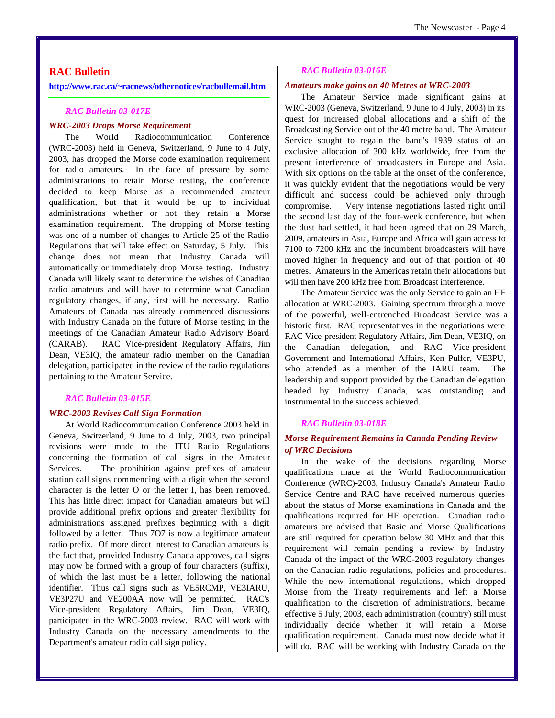#### **RAC Bulletin**

**<http://www.rac.ca/~racnews/othernotices/racbullemail.htm>**

#### *RAC Bulletin 03-017E*

#### *WRC-2003 Drops Morse Requirement*

The World Radiocommunication Conference (WRC-2003) held in Geneva, Switzerland, 9 June to 4 July, 2003, has dropped the Morse code examination requirement for radio amateurs. In the face of pressure by some administrations to retain Morse testing, the conference decided to keep Morse as a recommended amateur qualification, but that it would be up to individual administrations whether or not they retain a Morse examination requirement. The dropping of Morse testing was one of a number of changes to Article 25 of the Radio Regulations that will take effect on Saturday, 5 July. This change does not mean that Industry Canada will automatically or immediately drop Morse testing. Industry Canada will likely want to determine the wishes of Canadian radio amateurs and will have to determine what Canadian regulatory changes, if any, first will be necessary. Radio Amateurs of Canada has already commenced discussions with Industry Canada on the future of Morse testing in the meetings of the Canadian Amateur Radio Advisory Board (CARAB). RAC Vice-president Regulatory Affairs, Jim Dean, VE3IQ, the amateur radio member on the Canadian delegation, participated in the review of the radio regulations pertaining to the Amateur Service.

#### *RAC Bulletin 03-015E*

#### *WRC-2003 Revises Call Sign Formation*

At World Radiocommunication Conference 2003 held in Geneva, Switzerland, 9 June to 4 July, 2003, two principal revisions were made to the ITU Radio Regulations concerning the formation of call signs in the Amateur Services. The prohibition against prefixes of amateur station call signs commencing with a digit when the second character is the letter O or the letter I, has been removed. This has little direct impact for Canadian amateurs but will provide additional prefix options and greater flexibility for administrations assigned prefixes beginning with a digit followed by a letter. Thus 7O7 is now a legitimate amateur radio prefix. Of more direct interest to Canadian amateurs is the fact that, provided Industry Canada approves, call signs may now be formed with a group of four characters (suffix), of which the last must be a letter, following the national identifier. Thus call signs such as VE5RCMP, VE3IARU, VE3P27U and VE200AA now will be permitted. RAC's Vice-president Regulatory Affairs, Jim Dean, VE3IQ, participated in the WRC-2003 review. RAC will work with Industry Canada on the necessary amendments to the Department's amateur radio call sign policy.

#### *RAC Bulletin 03-016E*

#### *Amateurs make gains on 40 Metres at WRC-2003*

The Amateur Service made significant gains at WRC-2003 (Geneva, Switzerland, 9 June to 4 July, 2003) in its quest for increased global allocations and a shift of the Broadcasting Service out of the 40 metre band. The Amateur Service sought to regain the band's 1939 status of an exclusive allocation of 300 kHz worldwide, free from the present interference of broadcasters in Europe and Asia. With six options on the table at the onset of the conference, it was quickly evident that the negotiations would be very difficult and success could be achieved only through compromise. Very intense negotiations lasted right until the second last day of the four-week conference, but when the dust had settled, it had been agreed that on 29 March, 2009, amateurs in Asia, Europe and Africa will gain access to 7100 to 7200 kHz and the incumbent broadcasters will have moved higher in frequency and out of that portion of 40 metres. Amateurs in the Americas retain their allocations but will then have 200 kHz free from Broadcast interference.

The Amateur Service was the only Service to gain an HF allocation at WRC-2003. Gaining spectrum through a move of the powerful, well-entrenched Broadcast Service was a historic first. RAC representatives in the negotiations were RAC Vice-president Regulatory Affairs, Jim Dean, VE3IQ, on the Canadian delegation, and RAC Vice-president Government and International Affairs, Ken Pulfer, VE3PU, who attended as a member of the IARU team. The leadership and support provided by the Canadian delegation headed by Industry Canada, was outstanding and instrumental in the success achieved.

#### *RAC Bulletin 03-018E*

#### *Morse Requirement Remains in Canada Pending Review of WRC Decisions*

In the wake of the decisions regarding Morse qualifications made at the World Radiocommunication Conference (WRC)-2003, Industry Canada's Amateur Radio Service Centre and RAC have received numerous queries about the status of Morse examinations in Canada and the qualifications required for HF operation. Canadian radio amateurs are advised that Basic and Morse Qualifications are still required for operation below 30 MHz and that this requirement will remain pending a review by Industry Canada of the impact of the WRC-2003 regulatory changes on the Canadian radio regulations, policies and procedures. While the new international regulations, which dropped Morse from the Treaty requirements and left a Morse qualification to the discretion of administrations, became effective 5 July, 2003, each administration (country) still must individually decide whether it will retain a Morse qualification requirement. Canada must now decide what it will do. RAC will be working with Industry Canada on the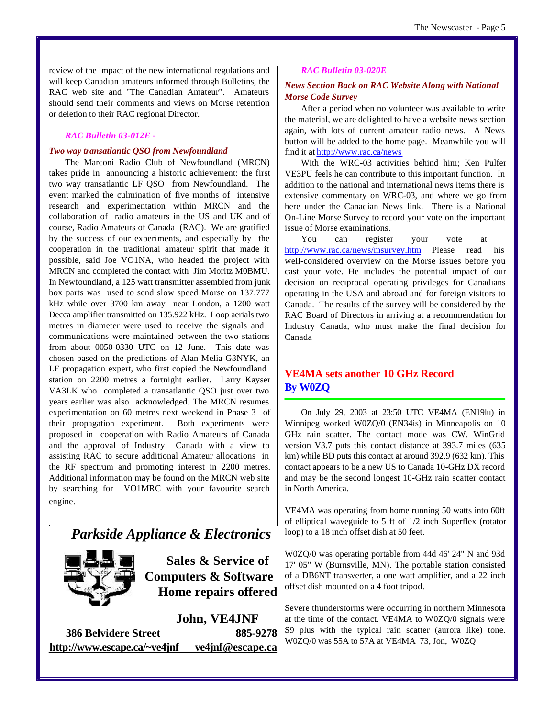review of the impact of the new international regulations and will keep Canadian amateurs informed through Bulletins, the RAC web site and "The Canadian Amateur". Amateurs should send their comments and views on Morse retention or deletion to their RAC regional Director.

#### *RAC Bulletin 03-012E -*

#### *Two way transatlantic QSO from Newfoundland*

The Marconi Radio Club of Newfoundland (MRCN) takes pride in announcing a historic achievement: the first two way transatlantic LF QSO from Newfoundland. The event marked the culmination of five months of intensive research and experimentation within MRCN and the collaboration of radio amateurs in the US and UK and of course, Radio Amateurs of Canada (RAC). We are gratified by the success of our experiments, and especially by the cooperation in the traditional amateur spirit that made it possible, said Joe VO1NA, who headed the project with MRCN and completed the contact with Jim Moritz M0BMU. In Newfoundland, a 125 watt transmitter assembled from junk box parts was used to send slow speed Morse on 137.777 kHz while over 3700 km away near London, a 1200 watt Decca amplifier transmitted on 135.922 kHz. Loop aerials two metres in diameter were used to receive the signals and communications were maintained between the two stations from about 0050-0330 UTC on 12 June. This date was chosen based on the predictions of Alan Melia G3NYK, an LF propagation expert, who first copied the Newfoundland station on 2200 metres a fortnight earlier. Larry Kayser VA3LK who completed a transatlantic QSO just over two years earlier was also acknowledged. The MRCN resumes experimentation on 60 metres next weekend in Phase 3 of their propagation experiment. Both experiments were proposed in cooperation with Radio Amateurs of Canada and the approval of Industry Canada with a view to assisting RAC to secure additional Amateur allocations in the RF spectrum and promoting interest in 2200 metres. Additional information may be found on the MRCN web site by searching for VO1MRC with your favourite search engine.

# *Parkside Appliance & Electronics*



**Sales & Service of Computers & Software Home repairs offered**

**John, VE4JNF 386 Belvidere Street 885-9278 <http://www.escape.ca/~ve4jnf> ve4jnf@escape.ca**

#### *RAC Bulletin 03-020E*

#### *News Section Back on RAC Website Along with National Morse Code Survey*

After a period when no volunteer was available to write the material, we are delighted to have a website news section again, with lots of current amateur radio news. A News button will be added to the home page. Meanwhile you will find it at<http://www.rac.ca/news>

With the WRC-03 activities behind him; Ken Pulfer VE3PU feels he can contribute to this important function. In addition to the national and international news items there is extensive commentary on WRC-03, and where we go from here under the Canadian News link. There is a National On-Line Morse Survey to record your vote on the important issue of Morse examinations.

You can register your vote at <http://www.rac.ca/news/msurvey.htm>Please read his well-considered overview on the Morse issues before you cast your vote. He includes the potential impact of our decision on reciprocal operating privileges for Canadians operating in the USA and abroad and for foreign visitors to Canada. The results of the survey will be considered by the RAC Board of Directors in arriving at a recommendation for Industry Canada, who must make the final decision for Canada

#### **VE4MA sets another 10 GHz Record By W0ZQ**

On July 29, 2003 at 23:50 UTC VE4MA (EN19lu) in Winnipeg worked W0ZQ/0 (EN34is) in Minneapolis on 10 GHz rain scatter. The contact mode was CW. WinGrid version V3.7 puts this contact distance at 393.7 miles (635 km) while BD puts this contact at around 392.9 (632 km). This contact appears to be a new US to Canada 10-GHz DX record and may be the second longest 10-GHz rain scatter contact in North America.

VE4MA was operating from home running 50 watts into 60ft of elliptical waveguide to 5 ft of 1/2 inch Superflex (rotator loop) to a 18 inch offset dish at 50 feet.

W0ZQ/0 was operating portable from 44d 46' 24" N and 93d 17' 05" W (Burnsville, MN). The portable station consisted of a DB6NT transverter, a one watt amplifier, and a 22 inch offset dish mounted on a 4 foot tripod.

Severe thunderstorms were occurring in northern Minnesota at the time of the contact. VE4MA to W0ZQ/0 signals were S9 plus with the typical rain scatter (aurora like) tone. W0ZQ/0 was 55A to 57A at VE4MA 73, Jon, W0ZQ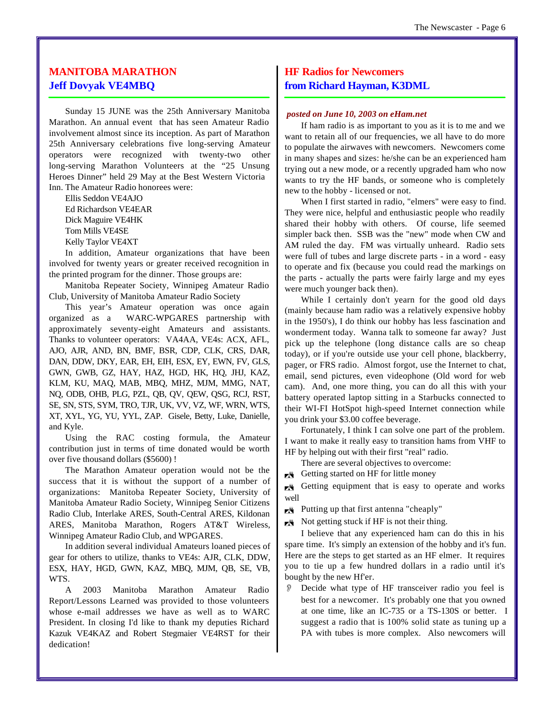#### **MANITOBA MARATHON Jeff Dovyak VE4MBQ**

Sunday 15 JUNE was the 25th Anniversary Manitoba Marathon. An annual event that has seen Amateur Radio involvement almost since its inception. As part of Marathon 25th Anniversary celebrations five long-serving Amateur operators were recognized with twenty-two other long-serving Marathon Volunteers at the "25 Unsung Heroes Dinner" held 29 May at the Best Western Victoria Inn. The Amateur Radio honorees were:

Ellis Seddon VE4AJO Ed Richardson VE4EAR Dick Maguire VE4HK Tom Mills VE4SE Kelly Taylor VE4XT

In addition, Amateur organizations that have been involved for twenty years or greater received recognition in the printed program for the dinner. Those groups are:

Manitoba Repeater Society, Winnipeg Amateur Radio Club, University of Manitoba Amateur Radio Society

This year's Amateur operation was once again organized as a WARC-WPGARES partnership with approximately seventy-eight Amateurs and assistants. Thanks to volunteer operators: VA4AA, VE4s: ACX, AFL, AJO, AJR, AND, BN, BMF, BSR, CDP, CLK, CRS, DAR, DAN, DDW, DKY, EAR, EH, EIH, ESX, EY, EWN, FV, GLS, GWN, GWB, GZ, HAY, HAZ, HGD, HK, HQ, JHJ, KAZ, KLM, KU, MAQ, MAB, MBQ, MHZ, MJM, MMG, NAT, NQ, ODB, OHB, PLG, PZL, QB, QV, QEW, QSG, RCJ, RST, SE, SN, STS, SYM, TRO, TJR, UK, VV, VZ, WF, WRN, WTS, XT, XYL, YG, YU, YYL, ZAP. Gisele, Betty, Luke, Danielle, and Kyle.

Using the RAC costing formula, the Amateur contribution just in terms of time donated would be worth over five thousand dollars (\$5600) !

The Marathon Amateur operation would not be the success that it is without the support of a number of organizations: Manitoba Repeater Society, University of Manitoba Amateur Radio Society, Winnipeg Senior Citizens Radio Club, Interlake ARES, South-Central ARES, Kildonan ARES, Manitoba Marathon, Rogers AT&T Wireless, Winnipeg Amateur Radio Club, and WPGARES.

In addition several individual Amateurs loaned pieces of gear for others to utilize, thanks to VE4s: AJR, CLK, DDW, ESX, HAY, HGD, GWN, KAZ, MBQ, MJM, QB, SE, VB, WTS.

A 2003 Manitoba Marathon Amateur Radio Report/Lessons Learned was provided to those volunteers whose e-mail addresses we have as well as to WARC President. In closing I'd like to thank my deputies Richard Kazuk VE4KAZ and Robert Stegmaier VE4RST for their dedication!

#### **HF Radios for Newcomers from Richard Hayman, K3DML**

#### *posted on June 10, 2003 on eHam.net*

If ham radio is as important to you as it is to me and we want to retain all of our frequencies, we all have to do more to populate the airwaves with newcomers. Newcomers come in many shapes and sizes: he/she can be an experienced ham trying out a new mode, or a recently upgraded ham who now wants to try the HF bands, or someone who is completely new to the hobby - licensed or not.

When I first started in radio, "elmers" were easy to find. They were nice, helpful and enthusiastic people who readily shared their hobby with others. Of course, life seemed simpler back then. SSB was the "new" mode when CW and AM ruled the day. FM was virtually unheard. Radio sets were full of tubes and large discrete parts - in a word - easy to operate and fix (because you could read the markings on the parts - actually the parts were fairly large and my eyes were much younger back then).

While I certainly don't yearn for the good old days (mainly because ham radio was a relatively expensive hobby in the 1950's), I do think our hobby has less fascination and wonderment today. Wanna talk to someone far away? Just pick up the telephone (long distance calls are so cheap today), or if you're outside use your cell phone, blackberry, pager, or FRS radio. Almost forgot, use the Internet to chat, email, send pictures, even videophone (Old word for web cam). And, one more thing, you can do all this with your battery operated laptop sitting in a Starbucks connected to their WI-FI HotSpot high-speed Internet connection while you drink your \$3.00 coffee beverage.

Fortunately, I think I can solve one part of the problem. I want to make it really easy to transition hams from VHF to HF by helping out with their first "real" radio.

There are several objectives to overcome:

**K** Getting started on HF for little money

**K** Getting equipment that is easy to operate and works well

Putting up that first antenna "cheaply"

Not getting stuck if HF is not their thing.

I believe that any experienced ham can do this in his spare time. It's simply an extension of the hobby and it's fun. Here are the steps to get started as an HF elmer. It requires you to tie up a few hundred dollars in a radio until it's bought by the new Hf'er.

O Decide what type of HF transceiver radio you feel is best for a newcomer. It's probably one that you owned at one time, like an IC-735 or a TS-130S or better. I suggest a radio that is 100% solid state as tuning up a PA with tubes is more complex. Also newcomers will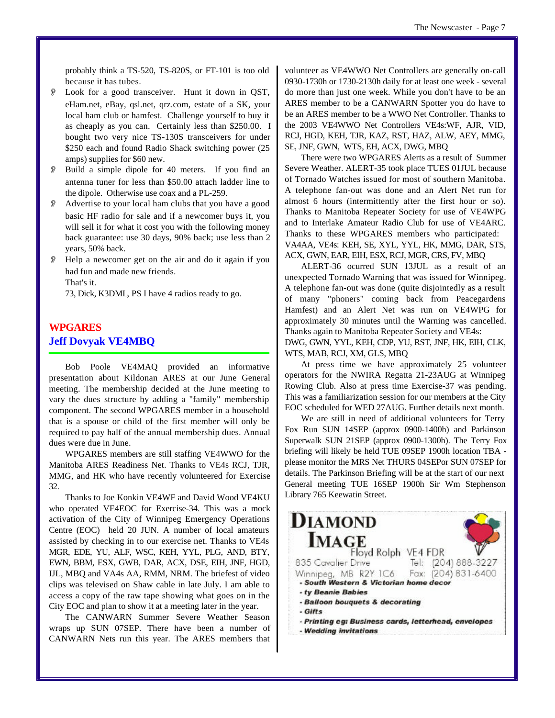probably think a TS-520, TS-820S, or FT-101 is too old because it has tubes.

- O Look for a good transceiver. Hunt it down in QST, eHam.net, eBay, qsl.net, qrz.com, estate of a SK, your local ham club or hamfest. Challenge yourself to buy it as cheaply as you can. Certainly less than \$250.00. I bought two very nice TS-130S transceivers for under \$250 each and found Radio Shack switching power (25) amps) supplies for \$60 new.
- Build a simple dipole for 40 meters. If you find an antenna tuner for less than \$50.00 attach ladder line to the dipole. Otherwise use coax and a PL-259.
- Advertise to your local ham clubs that you have a good basic HF radio for sale and if a newcomer buys it, you will sell it for what it cost you with the following money back guarantee: use 30 days, 90% back; use less than 2 years, 50% back.
- O Help a newcomer get on the air and do it again if you had fun and made new friends. That's it.

73, Dick, K3DML, PS I have 4 radios ready to go.

#### **WPGARES Jeff Dovyak VE4MBQ**

Bob Poole VE4MAQ provided an informative presentation about Kildonan ARES at our June General meeting. The membership decided at the June meeting to vary the dues structure by adding a "family" membership component. The second WPGARES member in a household that is a spouse or child of the first member will only be required to pay half of the annual membership dues. Annual dues were due in June.

WPGARES members are still staffing VE4WWO for the Manitoba ARES Readiness Net. Thanks to VE4s RCJ, TJR, MMG, and HK who have recently volunteered for Exercise 32.

Thanks to Joe Konkin VE4WF and David Wood VE4KU who operated VE4EOC for Exercise-34. This was a mock activation of the City of Winnipeg Emergency Operations Centre (EOC) held 20 JUN. A number of local amateurs assisted by checking in to our exercise net. Thanks to VE4s MGR, EDE, YU, ALF, WSC, KEH, YYL, PLG, AND, BTY, EWN, BBM, ESX, GWB, DAR, ACX, DSE, EIH, JNF, HGD, IJL, MBQ and VA4s AA, RMM, NRM. The briefest of video clips was televised on Shaw cable in late July. I am able to access a copy of the raw tape showing what goes on in the City EOC and plan to show it at a meeting later in the year.

The CANWARN Summer Severe Weather Season wraps up SUN 07SEP. There have been a number of CANWARN Nets run this year. The ARES members that

volunteer as VE4WWO Net Controllers are generally on-call 0930-1730h or 1730-2130h daily for at least one week - several do more than just one week. While you don't have to be an ARES member to be a CANWARN Spotter you do have to be an ARES member to be a WWO Net Controller. Thanks to the 2003 VE4WWO Net Controllers VE4s:WF, AJR, VID, RCJ, HGD, KEH, TJR, KAZ, RST, HAZ, ALW, AEY, MMG, SE, JNF, GWN, WTS, EH, ACX, DWG, MBQ

There were two WPGARES Alerts as a result of Summer Severe Weather. ALERT-35 took place TUES 01JUL because of Tornado Watches issued for most of southern Manitoba. A telephone fan-out was done and an Alert Net run for almost 6 hours (intermittently after the first hour or so). Thanks to Manitoba Repeater Society for use of VE4WPG and to Interlake Amateur Radio Club for use of VE4ARC. Thanks to these WPGARES members who participated: VA4AA, VE4s: KEH, SE, XYL, YYL, HK, MMG, DAR, STS, ACX, GWN, EAR, EIH, ESX, RCJ, MGR, CRS, FV, MBQ

ALERT-36 ocurred SUN 13JUL as a result of an unexpected Tornado Warning that was issued for Winnipeg. A telephone fan-out was done (quite disjointedly as a result of many "phoners" coming back from Peacegardens Hamfest) and an Alert Net was run on VE4WPG for approximately 30 minutes until the Warning was cancelled. Thanks again to Manitoba Repeater Society and VE4s:

DWG, GWN, YYL, KEH, CDP, YU, RST, JNF, HK, EIH, CLK, WTS, MAB, RCJ, XM, GLS, MBQ

At press time we have approximately 25 volunteer operators for the NWIRA Regatta 21-23AUG at Winnipeg Rowing Club. Also at press time Exercise-37 was pending. This was a familiarization session for our members at the City EOC scheduled for WED 27AUG. Further details next month.

We are still in need of additional volunteers for Terry Fox Run SUN 14SEP (approx 0900-1400h) and Parkinson Superwalk SUN 21SEP (approx 0900-1300h). The Terry Fox briefing will likely be held TUE 09SEP 1900h location TBA please monitor the MRS Net THURS 04SEPor SUN 07SEP for details. The Parkinson Briefing will be at the start of our next General meeting TUE 16SEP 1900h Sir Wm Stephenson Library 765 Keewatin Street.

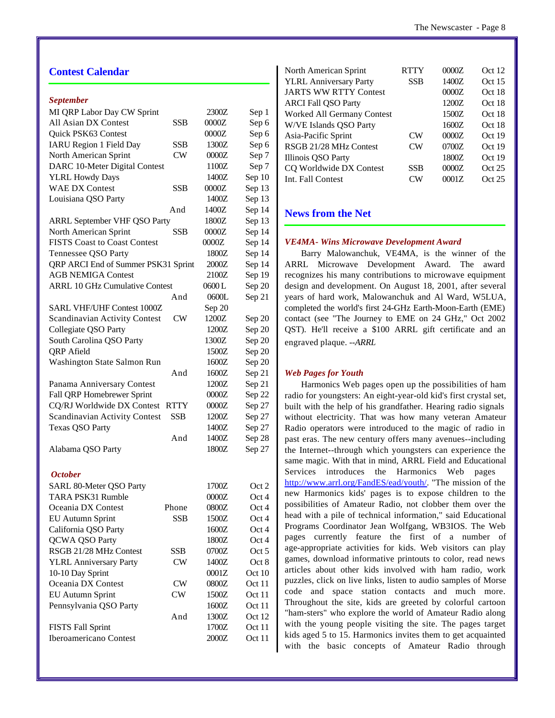#### **Contest Calendar**

#### *September*

| MI QRP Labor Day CW Sprint            |             | 2300Z   | Sep 1  |
|---------------------------------------|-------------|---------|--------|
| All Asian DX Contest                  | SSB         | 0000Z   | Sep 6  |
| Quick PSK63 Contest                   |             | 0000Z   | Sep 6  |
| <b>IARU Region 1 Field Day</b>        | SSB         | 1300Z   | Sep 6  |
| North American Sprint                 | <b>CW</b>   | 0000Z   | Sep 7  |
| DARC 10-Meter Digital Contest         |             | 1100Z   | Sep 7  |
| <b>YLRL Howdy Days</b>                |             | 1400Z   | Sep 10 |
| <b>WAE DX Contest</b>                 | <b>SSB</b>  | 0000Z   | Sep 13 |
| Louisiana QSO Party                   |             | 1400Z   | Sep 13 |
|                                       | And         | 1400Z   | Sep 14 |
| <b>ARRL September VHF QSO Party</b>   |             | 1800Z   | Sep 13 |
| North American Sprint                 | SSB         | 0000Z   | Sep 14 |
| <b>FISTS Coast to Coast Contest</b>   |             | 0000Z   | Sep 14 |
| Tennessee QSO Party                   |             | 1800Z   | Sep 14 |
| QRP ARCI End of Summer PSK31 Sprint   |             | 2000Z   | Sep 14 |
| <b>AGB NEMIGA Contest</b>             |             | 2100Z   | Sep 19 |
| <b>ARRL 10 GHz Cumulative Contest</b> |             | 0600L   | Sep 20 |
|                                       | And         | 0600L   | Sep 21 |
| <b>SARL VHF/UHF Contest 1000Z</b>     |             | Sep 20  |        |
| <b>Scandinavian Activity Contest</b>  | CW          | 1200Z   | Sep 20 |
| Collegiate QSO Party                  |             | 1200Z   | Sep 20 |
| South Carolina QSO Party              |             | 1300Z   | Sep 20 |
| <b>QRP</b> Afield                     |             | 1500Z   | Sep 20 |
| Washington State Salmon Run           |             | 1600Z   | Sep 20 |
|                                       | And         | 1600Z   | Sep 21 |
| Panama Anniversary Contest            |             | 1200Z   | Sep 21 |
| Fall QRP Homebrewer Sprint            |             | 0000Z   | Sep 22 |
| CQ/RJ Worldwide DX Contest            | <b>RTTY</b> | 0000Z   | Sep 27 |
| <b>Scandinavian Activity Contest</b>  | <b>SSB</b>  | 1200Z   | Sep 27 |
| <b>Texas QSO Party</b>                |             | 1400Z   | Sep 27 |
|                                       | And         | 1400Z   | Sep 28 |
| Alabama QSO Party                     |             | 1800Z   | Sep 27 |
| <b>October</b>                        |             |         |        |
| SARL 80-Meter QSO Party               |             | 1700Z   | Oct 2  |
| TARA PSK31 Rumble                     |             | 0000Z   | Oct 4  |
| Oceania DX Contest                    | Phone       | 0800Z   | Oct 4  |
| <b>EU Autumn Sprint</b>               | SSB         | 1500Z   | Oct 4  |
| California QSO Party                  |             | 1600Z   | Oct 4  |
| QCWA QSO Party                        |             | 1800Z   | Oct 4  |
| RSGB 21/28 MHz Contest                | SSB         | 0700Z   | Oct 5  |
| <b>YLRL Anniversary Party</b>         | CW          | 1400Z   | Oct 8  |
| 10-10 Day Sprint                      |             | 0001Z   | Oct 10 |
| Oceania DX Contest                    | CW          | 0800Z   | Oct 11 |
| <b>EU Autumn Sprint</b>               | CW          | $1500Z$ | Oct 11 |
| Pennsylvania QSO Party                |             | 1600Z   | Oct 11 |
|                                       | And         | 1300Z   | Oct 12 |
| <b>FISTS Fall Sprint</b>              |             | 1700Z   | Oct 11 |
| Iberoamericano Contest                |             | 2000Z   | Oct 11 |
|                                       |             |         |        |

| North American Sprint         | <b>RTTY</b>    | 0000Z | Oct 12 |
|-------------------------------|----------------|-------|--------|
| <b>YLRL Anniversary Party</b> | <b>SSB</b>     | 1400Z | Oct 15 |
| <b>JARTS WW RTTY Contest</b>  |                | 0000Z | Oct 18 |
| <b>ARCI Fall QSO Party</b>    |                | 1200Z | Oct 18 |
| Worked All Germany Contest    |                | 1500Z | Oct 18 |
| W/VE Islands QSO Party        |                | 1600Z | Oct 18 |
| Asia-Pacific Sprint           | CW <sub></sub> | 0000Z | Oct 19 |
| RSGB 21/28 MHz Contest        | $\rm CW$       | 0700Z | Oct 19 |
| Illinois QSO Party            |                | 1800Z | Oct 19 |
| CQ Worldwide DX Contest       | SSB            | 0000Z | Oct 25 |
| Int. Fall Contest             | CW <sub></sub> | 0001Z | Oct 25 |
|                               |                |       |        |

#### **News from the Net**

#### *VE4MA- Wins Microwave Development Award*

Barry Malowanchuk, VE4MA, is the winner of the ARRL Microwave Development Award. The award recognizes his many contributions to microwave equipment design and development. On August 18, 2001, after several years of hard work, Malowanchuk and Al Ward, W5LUA, completed the world's first 24-GHz Earth-Moon-Earth (EME) contact (see "The Journey to EME on 24 GHz," Oct 2002 QST). He'll receive a \$100 ARRL gift certificate and an engraved plaque. *--ARRL*

#### *Web Pages for Youth*

Harmonics Web pages open up the possibilities of ham radio for youngsters: An eight-year-old kid's first crystal set, built with the help of his grandfather. Hearing radio signals without electricity. That was how many veteran Amateur Radio operators were introduced to the magic of radio in past eras. The new century offers many avenues--including the Internet--through which youngsters can experience the same magic. With that in mind, ARRL Field and Educational Services introduces the Harmonics Web pages [http://www.arrl.org/FandES/ead/youth/.](http://www.arrl.org/FandES/ead/youth/) "The mission of the new Harmonics kids' pages is to expose children to the possibilities of Amateur Radio, not clobber them over the head with a pile of technical information," said Educational Programs Coordinator Jean Wolfgang, WB3IOS. The Web pages currently feature the first of a number of age-appropriate activities for kids. Web visitors can play games, download informative printouts to color, read news articles about other kids involved with ham radio, work puzzles, click on live links, listen to audio samples of Morse code and space station contacts and much more. Throughout the site, kids are greeted by colorful cartoon "ham-sters" who explore the world of Amateur Radio along with the young people visiting the site. The pages target kids aged 5 to 15. Harmonics invites them to get acquainted with the basic concepts of Amateur Radio through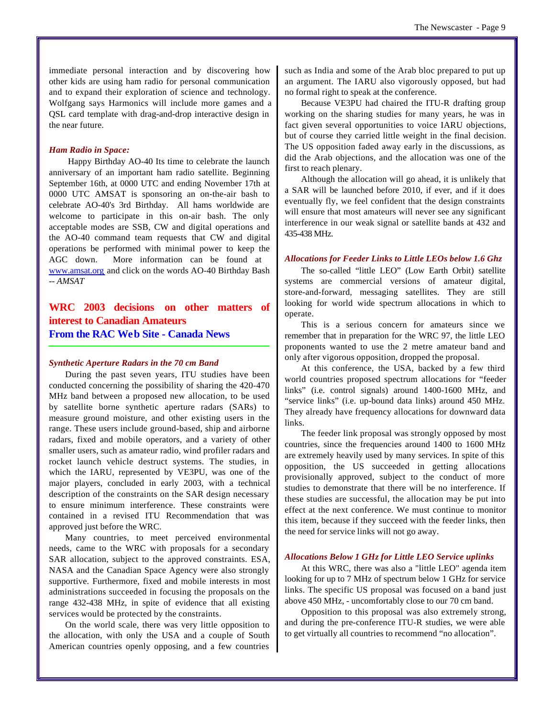immediate personal interaction and by discovering how other kids are using ham radio for personal communication and to expand their exploration of science and technology. Wolfgang says Harmonics will include more games and a QSL card template with drag-and-drop interactive design in the near future.

#### *Ham Radio in Space:*

 Happy Birthday AO-40 Its time to celebrate the launch anniversary of an important ham radio satellite. Beginning September 16th, at 0000 UTC and ending November 17th at 0000 UTC AMSAT is sponsoring an on-the-air bash to celebrate AO-40's 3rd Birthday. All hams worldwide are welcome to participate in this on-air bash. The only acceptable modes are SSB, CW and digital operations and the AO-40 command team requests that CW and digital operations be performed with minimal power to keep the AGC down. More information can be found at www.amsat.org and click on the words AO-40 Birthday Bash *-- AMSAT*

**WRC 2003 decisions on other matters of interest to Canadian Amateurs From the RAC Web Site - Canada News**

#### *Synthetic Aperture Radars in the 70 cm Band*

During the past seven years, ITU studies have been conducted concerning the possibility of sharing the 420-470 MHz band between a proposed new allocation, to be used by satellite borne synthetic aperture radars (SARs) to measure ground moisture, and other existing users in the range. These users include ground-based, ship and airborne radars, fixed and mobile operators, and a variety of other smaller users, such as amateur radio, wind profiler radars and rocket launch vehicle destruct systems. The studies, in which the IARU, represented by VE3PU, was one of the major players, concluded in early 2003, with a technical description of the constraints on the SAR design necessary to ensure minimum interference. These constraints were contained in a revised ITU Recommendation that was approved just before the WRC.

Many countries, to meet perceived environmental needs, came to the WRC with proposals for a secondary SAR allocation, subject to the approved constraints. ESA, NASA and the Canadian Space Agency were also strongly supportive. Furthermore, fixed and mobile interests in most administrations succeeded in focusing the proposals on the range 432-438 MHz, in spite of evidence that all existing services would be protected by the constraints.

On the world scale, there was very little opposition to the allocation, with only the USA and a couple of South American countries openly opposing, and a few countries

such as India and some of the Arab bloc prepared to put up an argument. The IARU also vigorously opposed, but had no formal right to speak at the conference.

Because VE3PU had chaired the ITU-R drafting group working on the sharing studies for many years, he was in fact given several opportunities to voice IARU objections, but of course they carried little weight in the final decision. The US opposition faded away early in the discussions, as did the Arab objections, and the allocation was one of the first to reach plenary.

Although the allocation will go ahead, it is unlikely that a SAR will be launched before 2010, if ever, and if it does eventually fly, we feel confident that the design constraints will ensure that most amateurs will never see any significant interference in our weak signal or satellite bands at 432 and 435-438 MHz.

#### *Allocations for Feeder Links to Little LEOs below 1.6 Ghz*

The so-called "little LEO" (Low Earth Orbit) satellite systems are commercial versions of amateur digital, store-and-forward, messaging satellites. They are still looking for world wide spectrum allocations in which to operate.

This is a serious concern for amateurs since we remember that in preparation for the WRC 97, the little LEO proponents wanted to use the 2 metre amateur band and only after vigorous opposition, dropped the proposal.

At this conference, the USA, backed by a few third world countries proposed spectrum allocations for "feeder links" (i.e. control signals) around 1400-1600 MHz, and "service links" (i.e. up-bound data links) around 450 MHz. They already have frequency allocations for downward data links.

The feeder link proposal was strongly opposed by most countries, since the frequencies around 1400 to 1600 MHz are extremely heavily used by many services. In spite of this opposition, the US succeeded in getting allocations provisionally approved, subject to the conduct of more studies to demonstrate that there will be no interference. If these studies are successful, the allocation may be put into effect at the next conference. We must continue to monitor this item, because if they succeed with the feeder links, then the need for service links will not go away.

#### *Allocations Below 1 GHz for Little LEO Service uplinks*

At this WRC, there was also a "little LEO" agenda item looking for up to 7 MHz of spectrum below 1 GHz for service links. The specific US proposal was focused on a band just above 450 MHz, - uncomfortably close to our 70 cm band.

Opposition to this proposal was also extremely strong, and during the pre-conference ITU-R studies, we were able to get virtually all countries to recommend "no allocation".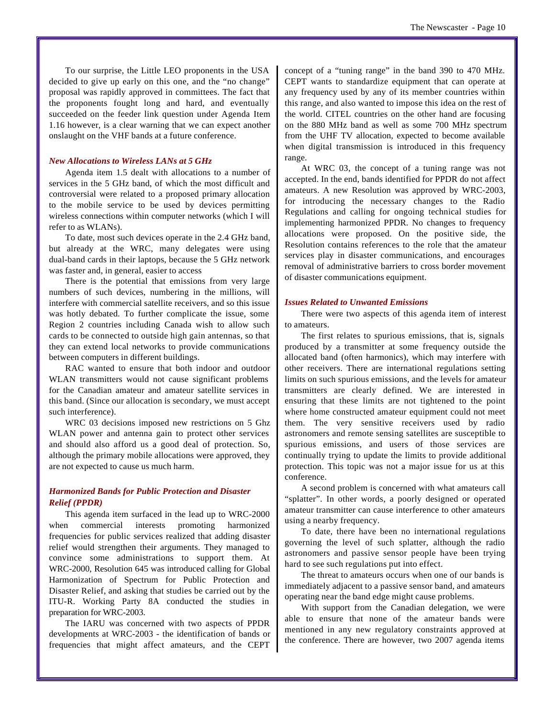To our surprise, the Little LEO proponents in the USA decided to give up early on this one, and the "no change" proposal was rapidly approved in committees. The fact that the proponents fought long and hard, and eventually succeeded on the feeder link question under Agenda Item 1.16 however, is a clear warning that we can expect another onslaught on the VHF bands at a future conference.

#### *New Allocations to Wireless LANs at 5 GHz*

Agenda item 1.5 dealt with allocations to a number of services in the 5 GHz band, of which the most difficult and controversial were related to a proposed primary allocation to the mobile service to be used by devices permitting wireless connections within computer networks (which I will refer to as WLANs).

To date, most such devices operate in the 2.4 GHz band, but already at the WRC, many delegates were using dual-band cards in their laptops, because the 5 GHz network was faster and, in general, easier to access

There is the potential that emissions from very large numbers of such devices, numbering in the millions, will interfere with commercial satellite receivers, and so this issue was hotly debated. To further complicate the issue, some Region 2 countries including Canada wish to allow such cards to be connected to outside high gain antennas, so that they can extend local networks to provide communications between computers in different buildings.

RAC wanted to ensure that both indoor and outdoor WLAN transmitters would not cause significant problems for the Canadian amateur and amateur satellite services in this band. (Since our allocation is secondary, we must accept such interference).

WRC 03 decisions imposed new restrictions on 5 Ghz WLAN power and antenna gain to protect other services and should also afford us a good deal of protection. So, although the primary mobile allocations were approved, they are not expected to cause us much harm.

#### *Harmonized Bands for Public Protection and Disaster Relief (PPDR)*

This agenda item surfaced in the lead up to WRC-2000 when commercial interests promoting harmonized frequencies for public services realized that adding disaster relief would strengthen their arguments. They managed to convince some administrations to support them. At WRC-2000, Resolution 645 was introduced calling for Global Harmonization of Spectrum for Public Protection and Disaster Relief, and asking that studies be carried out by the ITU-R. Working Party 8A conducted the studies in preparation for WRC-2003.

The IARU was concerned with two aspects of PPDR developments at WRC-2003 - the identification of bands or frequencies that might affect amateurs, and the CEPT

concept of a "tuning range" in the band 390 to 470 MHz. CEPT wants to standardize equipment that can operate at any frequency used by any of its member countries within this range, and also wanted to impose this idea on the rest of the world. CITEL countries on the other hand are focusing on the 880 MHz band as well as some 700 MHz spectrum from the UHF TV allocation, expected to become available when digital transmission is introduced in this frequency range.

At WRC 03, the concept of a tuning range was not accepted. In the end, bands identified for PPDR do not affect amateurs. A new Resolution was approved by WRC-2003, for introducing the necessary changes to the Radio Regulations and calling for ongoing technical studies for implementing harmonized PPDR. No changes to frequency allocations were proposed. On the positive side, the Resolution contains references to the role that the amateur services play in disaster communications, and encourages removal of administrative barriers to cross border movement of disaster communications equipment.

#### *Issues Related to Unwanted Emissions*

There were two aspects of this agenda item of interest to amateurs.

The first relates to spurious emissions, that is, signals produced by a transmitter at some frequency outside the allocated band (often harmonics), which may interfere with other receivers. There are international regulations setting limits on such spurious emissions, and the levels for amateur transmitters are clearly defined. We are interested in ensuring that these limits are not tightened to the point where home constructed amateur equipment could not meet them. The very sensitive receivers used by radio astronomers and remote sensing satellites are susceptible to spurious emissions, and users of those services are continually trying to update the limits to provide additional protection. This topic was not a major issue for us at this conference.

A second problem is concerned with what amateurs call "splatter". In other words, a poorly designed or operated amateur transmitter can cause interference to other amateurs using a nearby frequency.

To date, there have been no international regulations governing the level of such splatter, although the radio astronomers and passive sensor people have been trying hard to see such regulations put into effect.

The threat to amateurs occurs when one of our bands is immediately adjacent to a passive sensor band, and amateurs operating near the band edge might cause problems.

With support from the Canadian delegation, we were able to ensure that none of the amateur bands were mentioned in any new regulatory constraints approved at the conference. There are however, two 2007 agenda items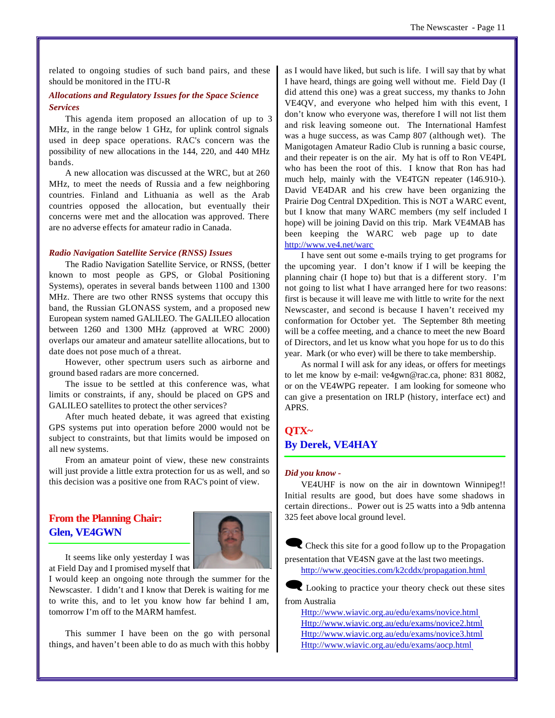related to ongoing studies of such band pairs, and these should be monitored in the ITU-R

#### *Allocations and Regulatory Issues for the Space Science Services*

This agenda item proposed an allocation of up to 3 MHz, in the range below 1 GHz, for uplink control signals used in deep space operations. RAC's concern was the possibility of new allocations in the 144, 220, and 440 MHz bands.

A new allocation was discussed at the WRC, but at 260 MHz, to meet the needs of Russia and a few neighboring countries. Finland and Lithuania as well as the Arab countries opposed the allocation, but eventually their concerns were met and the allocation was approved. There are no adverse effects for amateur radio in Canada.

#### *Radio Navigation Satellite Service (RNSS) Issues*

The Radio Navigation Satellite Service, or RNSS, (better known to most people as GPS, or Global Positioning Systems), operates in several bands between 1100 and 1300 MHz. There are two other RNSS systems that occupy this band, the Russian GLONASS system, and a proposed new European system named GALILEO. The GALILEO allocation between 1260 and 1300 MHz (approved at WRC 2000) overlaps our amateur and amateur satellite allocations, but to date does not pose much of a threat.

However, other spectrum users such as airborne and ground based radars are more concerned.

The issue to be settled at this conference was, what limits or constraints, if any, should be placed on GPS and GALILEO satellites to protect the other services?

After much heated debate, it was agreed that existing GPS systems put into operation before 2000 would not be subject to constraints, but that limits would be imposed on all new systems.

From an amateur point of view, these new constraints will just provide a little extra protection for us as well, and so this decision was a positive one from RAC's point of view.

#### **From the Planning Chair: Glen, VE4GWN**



It seems like only yesterday I was at Field Day and I promised myself that

I would keep an ongoing note through the summer for the Newscaster. I didn't and I know that Derek is waiting for me to write this, and to let you know how far behind I am, tomorrow I'm off to the MARM hamfest.

This summer I have been on the go with personal things, and haven't been able to do as much with this hobby

as I would have liked, but such is life. I will say that by what I have heard, things are going well without me. Field Day (I did attend this one) was a great success, my thanks to John VE4QV, and everyone who helped him with this event, I don't know who everyone was, therefore I will not list them and risk leaving someone out. The International Hamfest was a huge success, as was Camp 807 (although wet). The Manigotagen Amateur Radio Club is running a basic course, and their repeater is on the air. My hat is off to Ron VE4PL who has been the root of this. I know that Ron has had much help, mainly with the VE4TGN repeater (146.910-). David VE4DAR and his crew have been organizing the Prairie Dog Central DXpedition. This is NOT a WARC event, but I know that many WARC members (my self included I hope) will be joining David on this trip. Mark VE4MAB has been keeping the WARC web page up to date <http://www.ve4.net/warc>

I have sent out some e-mails trying to get programs for the upcoming year. I don't know if I will be keeping the planning chair (I hope to) but that is a different story. I'm not going to list what I have arranged here for two reasons: first is because it will leave me with little to write for the next Newscaster, and second is because I haven't received my conformation for October yet. The September 8th meeting will be a coffee meeting, and a chance to meet the new Board of Directors, and let us know what you hope for us to do this year. Mark (or who ever) will be there to take membership.

As normal I will ask for any ideas, or offers for meetings to let me know by e-mail: ve4gwn@rac.ca, phone: 831 8082, or on the VE4WPG repeater. I am looking for someone who can give a presentation on IRLP (history, interface ect) and APRS.

### **QTX~ By Derek, VE4HAY**

#### *Did you know -*

VE4UHF is now on the air in downtown Winnipeg!! Initial results are good, but does have some shadows in certain directions.. Power out is 25 watts into a 9db antenna 325 feet above local ground level.

 $\blacksquare$  Check this site for a good follow up to the Propagation presentation that VE4SN gave at the last two meetings.

<http://www.geocities.com/k2cddx/propagation.html>

Looking to practice your theory check out these sites from Australia

<Http://www.wiavic.org.au/edu/exams/novice.html> <Http://www.wiavic.org.au/edu/exams/novice2.html> <Http://www.wiavic.org.au/edu/exams/novice3.html> <Http://www.wiavic.org.au/edu/exams/aocp.html>